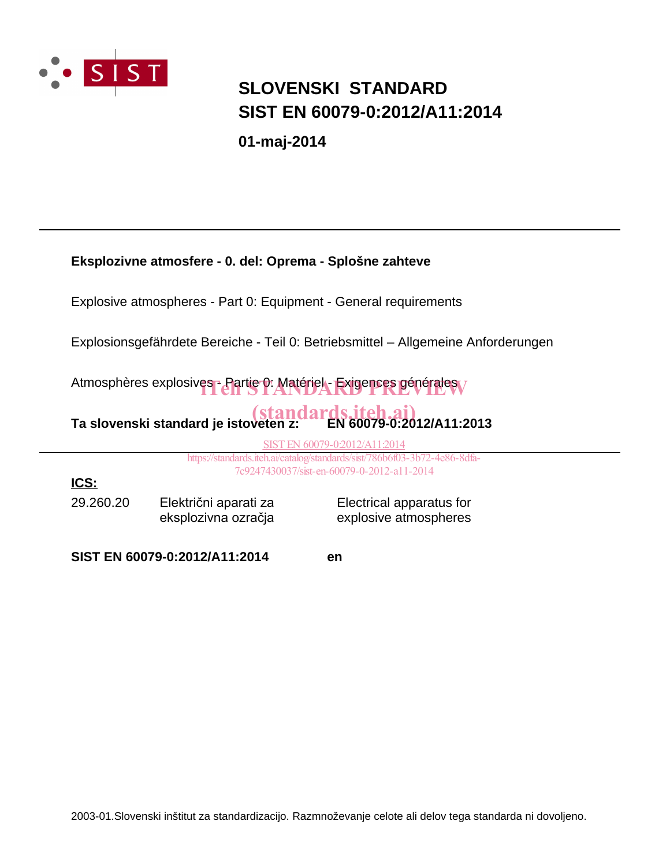

### **SIST EN 60079-0:2012/A11:2014 SLOVENSKI STANDARD**

**01-maj-2014**

| Eksplozivne atmosfere - 0. del: Oprema - Splošne zahteve                                                                    |                               |                          |  |  |  |  |  |
|-----------------------------------------------------------------------------------------------------------------------------|-------------------------------|--------------------------|--|--|--|--|--|
| Explosive atmospheres - Part 0: Equipment - General requirements                                                            |                               |                          |  |  |  |  |  |
| Explosionsgefährdete Bereiche - Teil 0: Betriebsmittel – Allgemeine Anforderungen                                           |                               |                          |  |  |  |  |  |
| Atmosphères explosives - Partie 0: Matériel - Exigences générales                                                           |                               |                          |  |  |  |  |  |
| Ta slovenski standard je istoveten z: (and ards.iteh.ai)<br>Ta slovenski standard je istoveten z: (EN 60079-0:2012/A11:2013 |                               |                          |  |  |  |  |  |
| SIST EN 60079-0:2012/A11:2014                                                                                               |                               |                          |  |  |  |  |  |
| https://standards.iteh.ai/catalog/standards/sist/786b6f03-3b72-4e86-8dfa-                                                   |                               |                          |  |  |  |  |  |
| 7c9247430037/sist-en-60079-0-2012-a11-2014                                                                                  |                               |                          |  |  |  |  |  |
| <u>ICS:</u>                                                                                                                 |                               |                          |  |  |  |  |  |
| 29.260.20                                                                                                                   | Električni aparati za         | Electrical apparatus for |  |  |  |  |  |
|                                                                                                                             | eksplozivna ozračja           | explosive atmospheres    |  |  |  |  |  |
|                                                                                                                             | SIST EN 60079-0:2012/A11:2014 | en                       |  |  |  |  |  |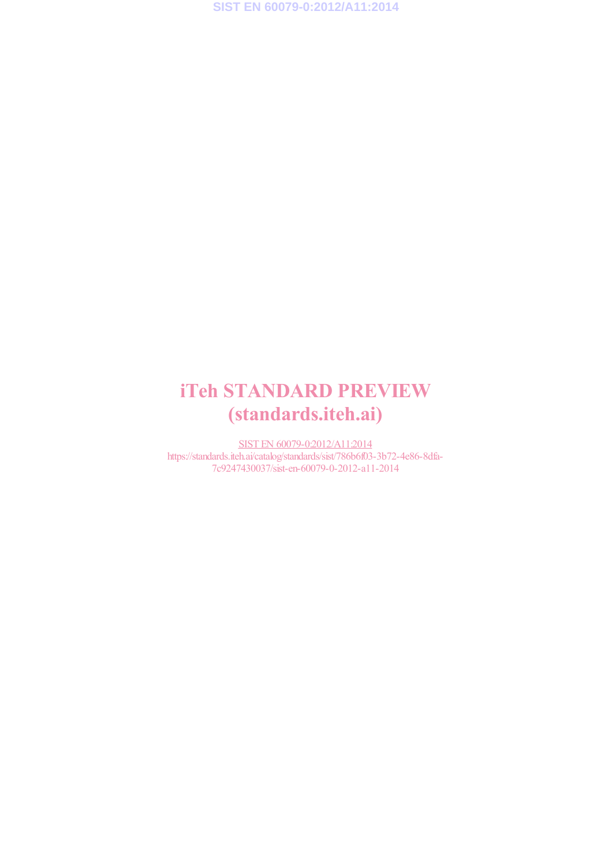# iTeh STANDARD PREVIEW (standards.iteh.ai)

SIST EN 60079-0:2012/A11:2014 https://standards.iteh.ai/catalog/standards/sist/786b6f03-3b72-4e86-8dfa-7c9247430037/sist-en-60079-0-2012-a11-2014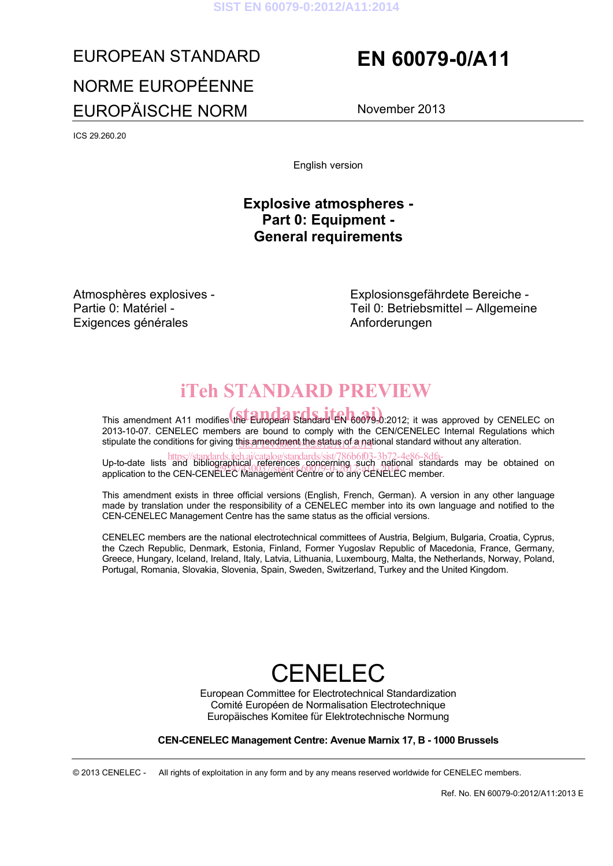#### **SIST EN 60079-0:2012/A11:2014**

# EUROPEAN STANDARD **EN 60079-0/A11** NORME EUROPÉENNE EUROPÄISCHE NORM November 2013

ICS 29.260.20

English version

### **Explosive atmospheres - Part 0: Equipment - General requirements**

Atmosphères explosives - Partie 0: Matériel - Exigences générales

Explosionsgefährdete Bereiche - Teil 0: Betriebsmittel – Allgemeine Anforderungen

# iTeh STANDARD PREVIEW

This amendment A11 modifies the European Standard EN 60079-0:2012; it was approved by CENELEC on 2013-10-07. CENELEC members are bound to comply with the CEN/CENELEC Internal Regulations which stipulate the conditions for giving t<u>his amendment the status of a na</u>tional standard without any alteration.

https://standards.iteh.ai/catalog/standards/sist/786b6f03-3b72-4e86-8dfa-<br>Up-to-date lists and bibliographical references concerning such national standards may be obtained on op-to-date lists and bibliographical releases concerning such hallonal standard standard member.

This amendment exists in three official versions (English, French, German). A version in any other language made by translation under the responsibility of a CENELEC member into its own language and notified to the CEN-CENELEC Management Centre has the same status as the official versions.

CENELEC members are the national electrotechnical committees of Austria, Belgium, Bulgaria, Croatia, Cyprus, the Czech Republic, Denmark, Estonia, Finland, Former Yugoslav Republic of Macedonia, France, Germany, Greece, Hungary, Iceland, Ireland, Italy, Latvia, Lithuania, Luxembourg, Malta, the Netherlands, Norway, Poland, Portugal, Romania, Slovakia, Slovenia, Spain, Sweden, Switzerland, Turkey and the United Kingdom.

# CENELEC

European Committee for Electrotechnical Standardization Comité Européen de Normalisation Electrotechnique Europäisches Komitee für Elektrotechnische Normung

#### **CEN-CENELEC Management Centre: Avenue Marnix 17, B - 1000 Brussels**

© 2013 CENELEC - All rights of exploitation in any form and by any means reserved worldwide for CENELEC members.

Ref. No. EN 60079-0:2012/A11:2013 E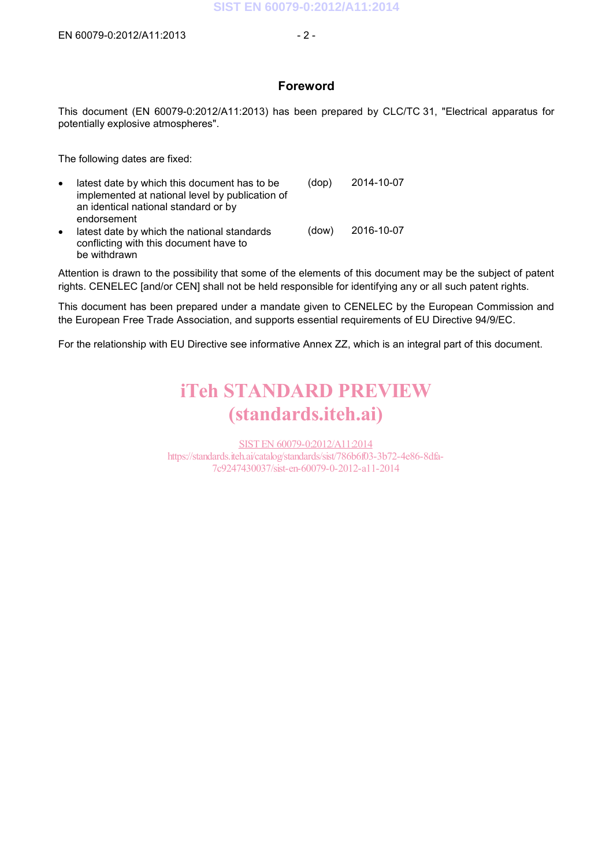#### **Foreword**

This document (EN 60079-0:2012/A11:2013) has been prepared by CLC/TC 31, "Electrical apparatus for potentially explosive atmospheres".

The following dates are fixed:

| $\bullet$ | latest date by which this document has to be<br>implemented at national level by publication of<br>an identical national standard or by<br>endorsement | (dop) | 2014-10-07 |
|-----------|--------------------------------------------------------------------------------------------------------------------------------------------------------|-------|------------|
| $\bullet$ | latest date by which the national standards<br>conflicting with this document have to<br>be withdrawn                                                  | (dow) | 2016-10-07 |

Attention is drawn to the possibility that some of the elements of this document may be the subject of patent rights. CENELEC [and/or CEN] shall not be held responsible for identifying any or all such patent rights.

This document has been prepared under a mandate given to CENELEC by the European Commission and the European Free Trade Association, and supports essential requirements of EU Directive 94/9/EC.

For the relationship with EU Directive see informative Annex ZZ, which is an integral part of this document.

# iTeh STANDARD PREVIEW (standards.iteh.ai)

SIST EN 60079-0:2012/A11:2014 https://standards.iteh.ai/catalog/standards/sist/786b6f03-3b72-4e86-8dfa-7c9247430037/sist-en-60079-0-2012-a11-2014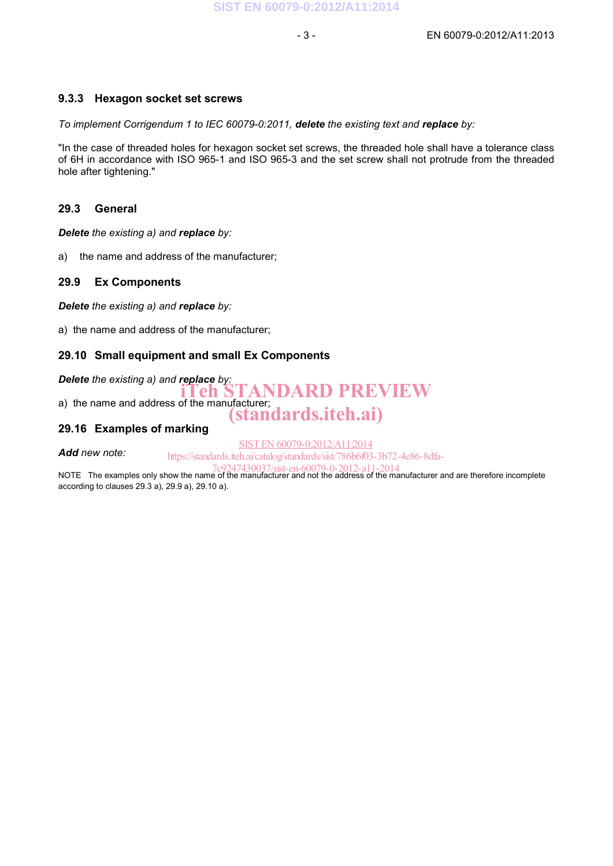#### **9.3.3 Hexagon socket set screws**

*To implement Corrigendum 1 to IEC 60079-0:2011, delete the existing text and replace by:*

"In the case of threaded holes for hexagon socket set screws, the threaded hole shall have a tolerance class of 6H in accordance with ISO 965-1 and ISO 965-3 and the set screw shall not protrude from the threaded hole after tightening."

#### **29.3 General**

*Delete the existing a) and replace by:*

a) the name and address of the manufacturer;

#### **29.9 Ex Components**

*Delete the existing a) and replace by:*

a) the name and address of the manufacturer;

#### **29.10 Small equipment and small Ex Components**

*Delete the existing a) and replace by:*<br> **iTeh STANDARD PREVIEW** a) the name and address of the manufacturer; (standards.iteh.ai)

### **29.16 Examples of marking**

*Add new note:* 

SIST EN 60079-0:2012/A11:2014

https://standards.iteh.ai/catalog/standards/sist/786b6f03-3b72-4e86-8dfa-

NOTE The examples only show the name of the manufacturer and not the address of the manufacturer and are therefore incomplete according to clauses 29.3 a), 29.9 a), 29.10 a).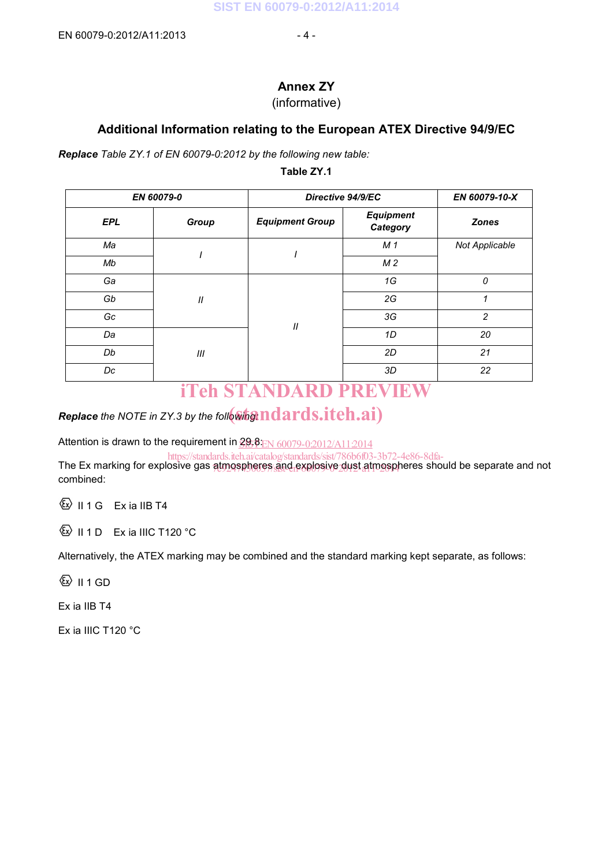### **Annex ZY**

### (informative)

### **Additional Information relating to the European ATEX Directive 94/9/EC**

*Replace Table ZY.1 of EN 60079-0:2012 by the following new table:* 

#### **Table ZY.1**

| EN 60079-0 |                  | Directive 94/9/EC          |                              | EN 60079-10-X  |
|------------|------------------|----------------------------|------------------------------|----------------|
| <b>EPL</b> | Group            | <b>Equipment Group</b>     | <b>Equipment</b><br>Category | <b>Zones</b>   |
| Ma         |                  |                            | M <sub>1</sub>               | Not Applicable |
| Mb         |                  |                            | M <sub>2</sub>               |                |
| Ga         | $\boldsymbol{H}$ | $\ensuremath{\mathit{II}}$ | 1G                           | 0              |
| Gb         |                  |                            | 2G                           | 1              |
| Gc         |                  |                            | 3G                           | $\overline{c}$ |
| Da         |                  |                            | 1D                           | 20             |
| Db         | Ш                |                            | 2D                           | 21             |
| Dc         |                  |                            | 3D                           | 22             |

### iTeh STANDARD PREVIEW

# $\boldsymbol{R}$ eplace the NOTE in ZY.3 by the foll $\boldsymbol{\delta}$ wi $\boldsymbol{S}$   $\boldsymbol{\Gamma}$   $\boldsymbol{R}$  and  $\boldsymbol{S}.$  iteh.ai)

Attention is drawn to the requirement in  $\underline{\mathcal{GP}}$ 8: $\underline{\mathrm{EN}}$   $60079$ -0:2012/A11:2014

The Ex marking for explosive gas atmospheres and explosive dust atmospheres should be separate and not combined: https://standards.iteh.ai/catalog/standards/sist/786b6f03-3b72-4e86-8dfa-

 $\overline{\text{S}}$  II 1 G Ex ia IIB T4

 $\textcircled{k}$  II 1 D Ex ia IIIC T120 °C

Alternatively, the ATEX marking may be combined and the standard marking kept separate, as follows:

 $\langle \overline{\mathbb{Q}} \rangle$  II 1 GD

Ex ia IIB T4

Ex ia IIIC T120 °C